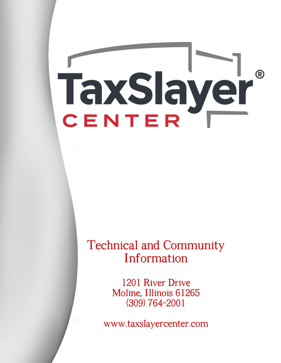# TaxSlayer  $^\circledR$ CENTER

## **Technical and Community** Information

1201 River Drive Moline, Illinois 61265  $(309) 764 - 2001$ 

www.taxslayercenter.com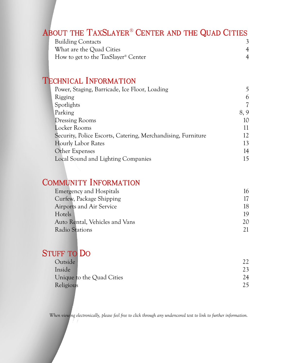#### ABOUT THE TAXSLAYER<sup>®</sup> CENTER AND THE QUAD CITIES

| <b>Building Contacts</b>                        |  |
|-------------------------------------------------|--|
| What are the Quad Cities                        |  |
| How to get to the TaxSlayer <sup>®</sup> Center |  |

## **TECHNICAL INFORMATION**

| Power, Staging, Barricade, Ice Floor, Loading                |     |
|--------------------------------------------------------------|-----|
| Rigging                                                      | 6   |
| Spotlights                                                   |     |
| Parking                                                      | 8,9 |
| <b>Dressing Rooms</b>                                        | 10  |
| Locker Rooms                                                 |     |
| Security, Police Escorts, Catering, Merchandising, Furniture | 12  |
| <b>Hourly Labor Rates</b>                                    | 13  |
| Other Expenses                                               | 14  |
| Local Sound and Lighting Companies                           |     |
|                                                              |     |

#### **COMMUNITY INFORMATION**

| 17 |
|----|
|    |
| 19 |
|    |
|    |
|    |

## **STUFF TO DO**

| Outside                   |    |
|---------------------------|----|
| Inside                    |    |
| Unique to the Quad Cities | 24 |
| Religious                 | 25 |

*When viewing electronically, please feel free to click through any underscored text to link to further information.*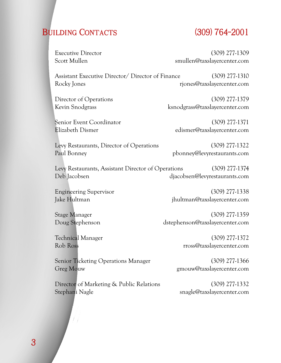## BUILDING CONTACTS (309) 764-2001

Executive Director (309) 277-1309 Scott Mullen smullen@taxslayercenter.com

 Assistant Executive Director/ Director of Finance (309) 277-1310 Rocky Jones rjones rjones riones riones riones and riones riones and riones and riones and riones and riones and riones and riones and riones and riones and riones and riones and riones and riones and riones and riones and

Senior Event Coordinator (309) 277-1371

Director of Operations (309) 277-1379 Kevin Snodgrass ksnodgrass@taxslayercenter.com

Elizabeth Dismer edismer@taxslayercenter.com

 Levy Restaurants, Director of Operations (309) 277-1322 Paul Bonney Paul Bonney Paul Bonney Paul Bonney Paul Bonney Paul Bonney Paul Bonney Paul Bonney Paul Bonney Pau

 Levy Restaurants, Assistant Director of Operations (309) 277-1374 Deb Jacobsen djacobsen@levyrestaurants.com

 Engineering Supervisor (309) 277-1338 Jake Hultman jhultman@taxslayercenter.com

Stage Manager (309) 277-1359<br>Doug Stephenson distephenson@taxslayercenter.com dstephenson@taxslayercenter.com

 Technical Manager (309) 277-1372 Rob Ross rross@taxslayercenter.com

Senior Ticketing Operations Manager (309) 277-1366 Greg Mouw Greg Mouw gmouw gmouw and state and the set of the set of the set of the set of the set of the set of the set of the set of the set of the set of the set of the set of the set of the set of the set of the set of

 Director of Marketing & Public Relations (309) 277-1332 Stephani Nagle Stephani Nagle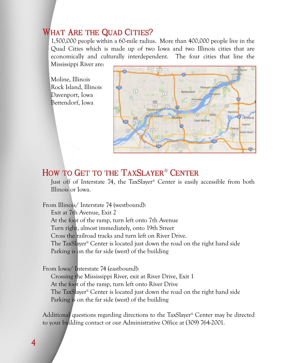#### **WHAT ARE THE QUAD CITIES?**

1,500,000 people within a 60-mile radius. More than 400,000 people live in the Quad Cities which is made up of two Iowa and two Illinois cities that are economically and culturally interdependent. The four cities that line the Mississippi River are:

Moline, Illinois Rock Island, Illinois Davenport, Iowa Bettendorf, Iowa



#### HOW TO GET TO THE TAXSLAYER® CENTER

Just off of Interstate 74, the TaxSlayer® Center is easily accessible from both Illinois or Iowa.

From Illinois/ Interstate 74 (westbound):

Exit at 7th Avenue, Exit 2

At the foot of the ramp, turn left onto 7th Avenue

Turn right, almost immediately, onto 19th Street

Cross the railroad tracks and turn left on River Drive.

The TaxSlayer® Center is located just down the road on the right hand side Parking is on the far side (west) of the building

From Iowa/ Interstate 74 (eastbound):

Crossing the Mississippi River, exit at River Drive, Exit 1 At the foot of the ramp, turn left onto River Drive The TaxSlayer® Center is located just down the road on the right hand side Parking is on the far side (west) of the building

Additional questions regarding directions to the TaxSlayer® Center may be directed to your building contact or our Administrative Office at (309) 764-2001.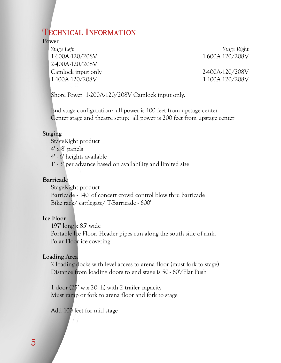#### **TECHNICAL INFORMATION**

#### **Power**

 *Stage Left Stage Right*  1-600A-120/208V 1-600A-120/208V 2-400A-120/208V Camlock input only 2-400A-120/208V 1-100A-120/208V 1-100A-120/208V

Shore Power 1-200A-120/208V Camlock input only.

 End stage configuration: all power is 100 feet from upstage center Center stage and theatre setup: all power is 200 feet from upstage center

#### **Staging**

 StageRight product 4' x 8' panels 4' - 6' heights available 1' - 3' per advance based on availability and limited size

#### **Barricade**

 StageRight product Barricade - 140' of concert crowd control blow thru barricade Bike rack/ cattlegate/ T-Barricade - 600'

#### **Ice Floor**

 197' long x 85' wide Portable Ice Floor. Header pipes run along the south side of rink. Polar Floor ice covering

#### **Loading Area**

 2 loading docks with level access to arena floor (must fork to stage) Distance from loading doors to end stage is 50'-60'/Flat Push

1 door  $(25' \text{ w x } 20' \text{ h})$  with 2 trailer capacity Must ramp or fork to arena floor and fork to stage

Add 100 feet for mid stage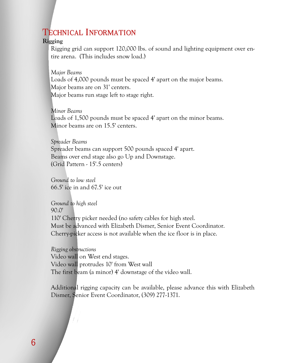#### **TECHNICAL INFORMATION**

#### **Rigging**

Rigging grid can support 120,000 lbs. of sound and lighting equipment over entire arena. (This includes snow load.)

*Major Beams*  Loads of 4,000 pounds must be spaced 4' apart on the major beams. Major beams are on 31' centers. Major beams run stage left to stage right.

#### *Minor Beams*

Loads of 1,500 pounds must be spaced 4' apart on the minor beams. Minor beams are on 15.5' centers.

#### *Spreader Beams*

Spreader beams can support 500 pounds spaced 4' apart. Beams over end stage also go Up and Downstage. (Grid Pattern - 15'.5 centers)

*Ground to low steel*  66.5' ice in and 67.5' ice out

*Ground to high steel*  90.0' 110' Cherry picker needed (no safety cables for high steel. Must be advanced with Elizabeth Dismer, Senior Event Coordinator. Cherry-picker access is not available when the ice floor is in place.

*Rigging obstructions* Video wall on West end stages. Video wall protrudes 10' from West wall The first beam (a minor) 4' downstage of the video wall.

Additional rigging capacity can be available, please advance this with Elizabeth Dismer, Senior Event Coordinator, (309) 277-1371.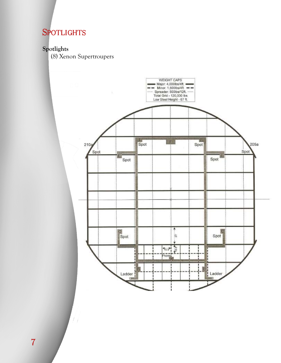## **SPOTLIGHTS**

#### **Spotlights**

(8) Xenon Supertroupers



 $\overline{7}$ 

 $\left| \frac{1}{2} \right|$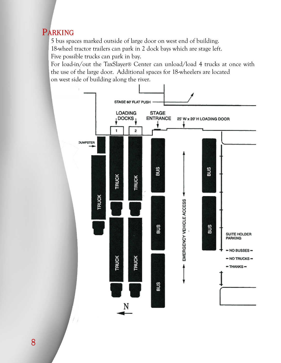## PARKING

5 bus spaces marked outside of large door on west end of building. 18-wheel tractor trailers can park in 2 dock bays which are stage left. Five possible trucks can park in bay.

For load-in/out the TaxSlayer® Center can unload/load 4 trucks at once with the use of the large door. Additional spaces for 18-wheelers are located on west side of building along the river.

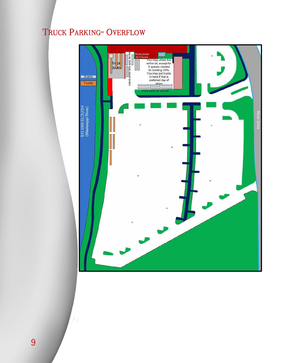## TRUCK PARKING- OVERFLOW



 $\left| \right|$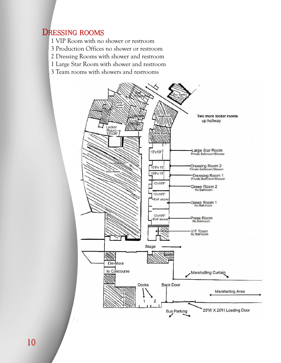#### **DRESSING ROOMS**

- 1 VIP Room with no shower or restroom
- 3 Production Offices no shower or restroom
- 2 Dressing Rooms with shower and restroom
- 1 Large Star Room with shower and restroom
- 3 Team rooms with showers and restrooms

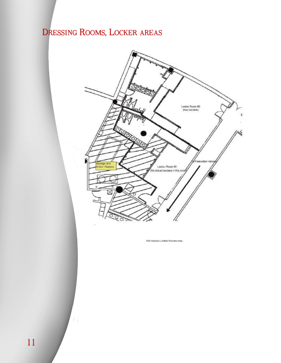## DRESSING ROOMS, LOCKER AREAS



 $\left| \right|$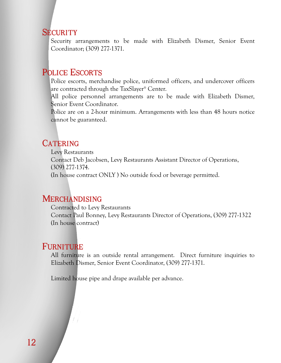#### **SECURITY**

Security arrangements to be made with Elizabeth Dismer, Senior Event Coordinator; (309) 277-1371.

#### **POLICE ESCORTS**

Police escorts, merchandise police, uniformed officers, and undercover officers are contracted through the TaxSlayer® Center.

All police personnel arrangements are to be made with Elizabeth Dismer, Senior Event Coordinator.

Police are on a 2-hour minimum. Arrangements with less than 48 hours notice cannot be guaranteed.

#### **CATERING**

Levy Restaurants Contact Deb Jacobsen, Levy Restaurants Assistant Director of Operations, (309) 277-1374. (In house contract ONLY ) No outside food or beverage permitted.

#### **MERCHANDISING**

Contracted to Levy Restaurants Contact Paul Bonney, Levy Restaurants Director of Operations, (309) 277-1322 (In house contract)

#### **FURNITURE**

All furniture is an outside rental arrangement. Direct furniture inquiries to Elizabeth Dismer, Senior Event Coordinator, (309) 277-1371.

Limited house pipe and drape available per advance.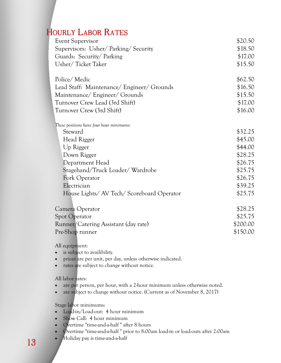## **HOURLY LABOR RATES**

| Event Supervisor                           | \$20.50  |
|--------------------------------------------|----------|
| Supervisors: Usher/Parking/Security        | \$18.50  |
| Guards: Security/Parking                   | \$17.00  |
| Usher/Ticket Taker                         | \$15.50  |
| Police/Medic                               | \$62.50  |
| Lead Staff: Maintenance/ Engineer/ Grounds | \$16.50  |
| Maintenance/ Engineer/ Grounds             | \$15.50  |
| Turnover Crew Lead (3rd Shift)             | \$17.00  |
| Turnover Crew (3rd Shift)                  | \$16.00  |
| These positions have four hour minimums:   |          |
| Steward                                    | \$32.25  |
| Head Rigger                                | \$45.00  |
| Up Rigger                                  | \$44.00  |
| Down Rigger                                | \$28.25  |
| Department Head                            | \$26.75  |
| Stagehand/Truck Loader/Wardrobe            | \$25.75  |
| Fork Operator                              | \$26.75  |
| Electrician                                | \$39.25  |
| House Lights/ AV Tech/ Scoreboard Operator | \$25.75  |
| Camera Operator                            | \$28.25  |
| Spot Operator                              | \$25.75  |
| Runner/Catering Assistant (day rate)       | \$200.00 |
| Pre-Shop runner                            | \$150.00 |
|                                            |          |

All equipment:

- is subject to availibility.
- prices are per unit, per day, unless otherwise indicated.
- rates are subject to change without notice.

All labor rates:

- are per person, per hour, with a 2-hour minimum unless otherwise noted.
- are subject to change without notice. (Current as of November 8, 2017)

Stage labor minimums:

- Load-in/Load-out: 4 hour minimum
- Show Call: 4 hour minimum
- Overtime "time-and-a-half " after 8 hours
- Overtime "time-and-a-half " prior to 8:00am load-in or load-outs after 2:00am
- Holiday pay is time-and-a-half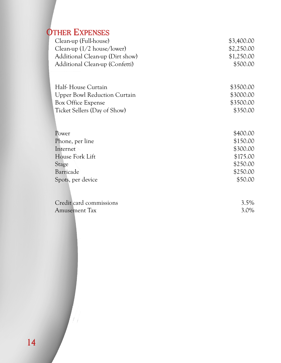## **OTHER EXPENSES**

| Clean-up (Full-house)                | \$3,400.00 |
|--------------------------------------|------------|
| Clean-up $(1/2 \text{ house/lower})$ | \$2,250.00 |
| Additional Clean-up (Dirt show)      | \$1,250.00 |
| Additional Clean-up (Confetti)       | \$500.00   |
|                                      |            |
| Half-House Curtain                   | \$3500.00  |
| <b>Upper Bowl Reduction Curtain</b>  | \$3000.00  |
| Box Office Expense                   | \$3500.00  |
| Ticket Sellers (Day of Show)         | \$350.00   |
|                                      |            |
|                                      |            |
| Power                                | \$400.00   |
| Phone, per line                      | \$150.00   |
| Internet                             | \$300.00   |
| House Fork Lift                      | \$175.00   |
| Stage                                | \$250.00   |
| Barricade                            | \$250.00   |
| Spots, per device                    | \$50.00    |
|                                      |            |
| Credit card commissions              | $3.5\%$    |

 $\left| \frac{1}{2} \right|$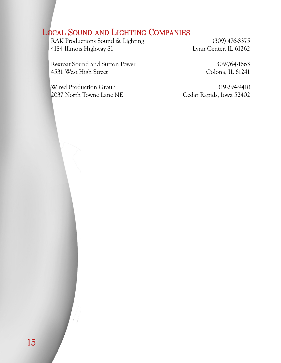## **LOCAL SOUND AND LIGHTING COMPANIES**

RAK Productions Sound & Lighting (309) 476-8375 4184 Illinois Highway 81 Lynn Center, IL 61262

Rexroat Sound and Sutton Power 309-764-1663 4531 West High Street Colona, IL 61241

Wired Production Group 319-294-9410 2037 North Towne Lane NE Cedar Rapids, Iowa 52402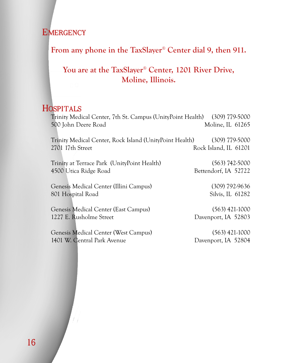**EMERGENCY** 

#### **From any phone in the TaxSlayer**®  **Center dial 9, then 911.**

#### **You are at the TaxSlayer**®  **Center, 1201 River Drive, Moline, Illinois.**

#### HOSPITALS

Trinity Medical Center, 7th St. Campus (UnityPoint Health) (309) 779-5000 500 John Deere Road Moline, IL 61265 Trinity Medical Center, Rock Island (UnityPoint Health) (309) 779-5000 2701 17th Street Rock Island, IL 61201 Trinity at Terrace Park (UnityPoint Health) (563) 742-5000 4500 Utica Ridge Road Bettendorf, IA 52722 Genesis Medical Center (Illini Campus) (309) 792-9636 801 Hospital Road Silvis, IL 61282 Genesis Medical Center (East Campus) (563) 421-1000 1227 E. Rusholme Street Davenport, IA 52803 Genesis Medical Center (West Campus) (563) 421-1000

1401 W. Central Park Avenue Davenport, IA 52804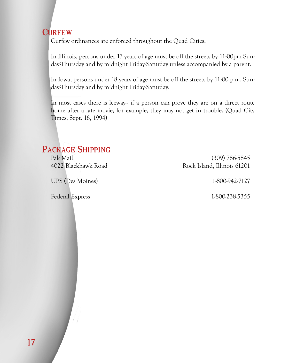#### **CURFEW**

Curfew ordinances are enforced throughout the Quad Cities.

In Illinois, persons under 17 years of age must be off the streets by 11:00pm Sunday-Thursday and by midnight Friday-Saturday unless accompanied by a parent.

In Iowa, persons under 18 years of age must be off the streets by 11:00 p.m. Sunday-Thursday and by midnight Friday-Saturday.

In most cases there is leeway-- if a person can prove they are on a direct route home after a late movie, for example, they may not get in trouble. (Quad City Times; Sept. 16, 1994)

#### **PACKAGE SHIPPING**

UPS (Des Moines) 1-800-942-7127

Federal Express 1-800-238-5355

Pak Mail (309) 786-5845 4022 Blackhawk Road Rock Island, Illinois 61201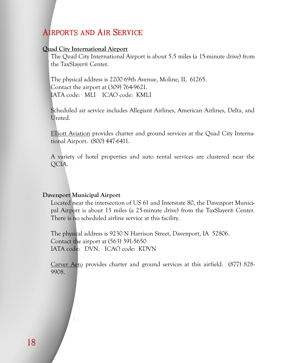#### **AIRPORTS AND AIR SERVICE**

#### **[Quad City International Airport](http://www.qcairport.com/)**

The Quad City International Airport is about 5.5 miles (a 15-minute drive) from the TaxSlayer® Center.

The physical address is 2200 69th Avenue, Moline, IL 61265. Contact the airport at (309) 764-9621. IATA code: MLI ICAO code: KMLI

Scheduled air service includes Allegiant Airlines, American Airlines, Delta, and United.

[Elliott Aviation](http://www.elliottaviation.com/) provides charter and ground services at the Quad City International Airport. (800) 447-6411.

A variety of hotel properties and auto rental services are clustered near the QCIA.

#### **[Davenport Municipal Airport](http://www.qcairport.com/)**

Located near the intersection of US 61 and Interstate 80, the Davenport Municipal Airport is about 13 miles (a 25-minute drive) from the TaxSlayer® Center. There is no scheduled airline service at this facility.

The physical address is 9230 N Harrison Street, Davenport, IA 52806. Contact the airport at (563) 391-5650 IATA code: DVN. ICAO code: KDVN

[Carver Aero](http://www.carveraero.com/index.php/fbo_locations/davenport/) provides charter and ground services at this airfield. (877) 828- 9908.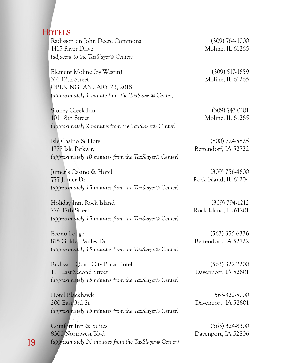#### **HOTELS**

Radisson on John Deere Commons (309) 764-1000 1415 River Drive Moline, IL 61265 *(adjacent to the TaxSlayer*® *Center)* 

 Element Moline (by Westin) (309) 517-1659 316 12th Street Moline, IL 61265 OPENING JANUARY 23, 2018 *(approximately 1 minute from the TaxSlayer*® *Center)* 

 Stoney Creek Inn (309) 743-0101 101 18th Street Moline, IL 61265  *(approximately 2 minutes from the TaxSlayer*® *Center)* 

 Isle Casino & Hotel (800) 724-5825 1777 Isle Parkway Bettendorf, IA 52722  *(approximately 10 minutes from the TaxSlayer*® *Center)* 

Jumer's Casino & Hotel (309) 756-4600 777 Jumer Dr. Rock Island, IL 61204  *(approximately 15 minutes from the TaxSlayer*® *Center)* 

 Holiday Inn, Rock Island (309) 794-1212 226 17th Street Rock Island, IL 61201 *(approximately 15 minutes from the TaxSlayer*® *Center)* 

 Econo Lodge (563) 355-6336 815 Golden Valley Dr Bettendorf, IA 52722  *(approximately 15 minutes from the TaxSlayer*® *Center)* 

Radisson Quad City Plaza Hotel (563) 322-2200 111 East Second Street Davenport, IA 52801  *(approximately 15 minutes from the TaxSlayer*® *Center)* 

 Hotel Blackhawk 563-322-5000 200 East 3rd St Davenport, IA 52801 *(approximately 15 minutes from the TaxSlayer*® *Center)* 

 Comfort Inn & Suites (563) 324-8300 8300 Northwest Blvd Davenport, IA 52806 *(approximately 20 minutes from the TaxSlayer*® *Center)*

19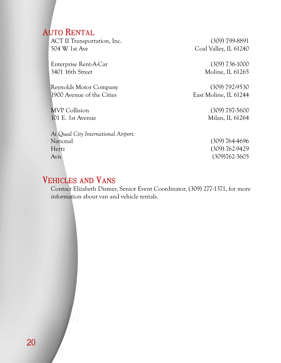#### **AUTO RENTAL**

ACT II Transportation, Inc. (309) 799-8891 504 W 1st Ave Coal Valley, IL 61240

 Enterprise Rent-A-Car (309) 736-1000 3401 16th Street Moline, IL 61265

 Reynolds Motor Company (309) 792-9530 1900 Avenue of the Cities East Moline, IL 61244

MVP Collision (309) 787-5600 101 E. 1st Avenue Milan, IL 61264

 *At Quad City International Airport:*  National (309) 764-4696 Hertz (309) 762-9429 Avis (309)762-3605

#### **VEHICLES AND VANS**

Contact Elizabeth Dismer, Senior Event Coordinator, (309) 277-1371, for more information about van and vehicle rentals.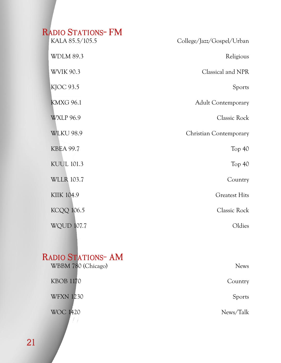## RADIO STATIONS- FM

| College/Jazz/Gospel/Urban     | KALA 85.5/105.5   |
|-------------------------------|-------------------|
| Religious                     | <b>WDLM 89.3</b>  |
| Classical and NPR             | <b>WVIK 90.3</b>  |
| Sports                        | KJOC 93.5         |
| <b>Adult Contemporary</b>     | <b>KMXG 96.1</b>  |
| Classic Rock                  | <b>WXLP 96.9</b>  |
| <b>Christian Contemporary</b> | <b>WLKU 98.9</b>  |
| Top 40                        | <b>KBEA 99.7</b>  |
| Top $40$                      | <b>KUUL 101.3</b> |
| Country                       | <b>WLLR 103.7</b> |
| <b>Greatest Hits</b>          | <b>KIIK 104.9</b> |
| Classic Rock                  | <b>KCQQ 106.5</b> |
| Oldies                        | <b>WQUD 107.7</b> |

## RADIO STATIONS- AM

| <b>News</b>   | WBBM 780 (Chicago) |
|---------------|--------------------|
| Country       | <b>KBOB 1170</b>   |
| <b>Sports</b> | <b>WFXN 1230</b>   |
| News/Talk     | <b>WOC 1420</b>    |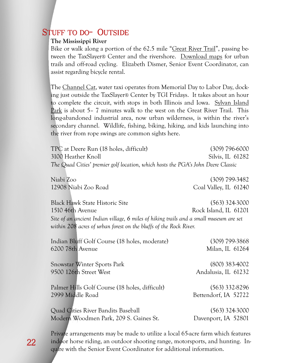#### **STUFF TO DO- OUTSIDE**

#### **The Mississippi River**

Bike or walk along a portion of the 62.5 mile "[Great River Trail](https://greatrivertrail.org/)", passing between the TaxSlayer® Center and the rivershore. [Download maps](https://www.qcbc.org/maps/) for urban trails and off-road cycling. Elizabeth Dismer, Senior Event Coordinator, can assist regarding bicycle rental.

The [Channel Cat,](https://www.gogreenmetro.com/231/Channel-Cat) water taxi operates from Memorial Day to Labor Day, docking just outside the TaxSlayer® Center by TGI Fridays. It takes about an hour to complete the circuit, with stops in both Illinois and Iowa. [Sylvan Island](http://www.qcwildplaces.com/node/5)  [Park i](http://www.qcwildplaces.com/node/5)s about 5– 7 minutes walk to the west on the Great River Trail. This long-abandoned industrial area, now urban wilderness, is within the river's secondary channel. Wildlife, fishing, biking, hiking, and kids launching into the river from rope swings are common sights here.

 TPC at Deere Run (18 holes, difficult) (309) 796-6000 3100 Heather Knoll Silvis, IL 61282 *The Quad Cities' premier golf location, which hosts the PGA's John Deere Classic*

 Niabi Zoo (309) 799-3482 12908 Niabi Zoo Road Coal Valley, IL 61240 Black Hawk State Historic Site (563) 324-3000 1510 46th Avenue Rock Island, IL 61201 *Site of an ancient Indian village, 6 miles of hiking trails and a small museum are set within 208 acres of urban forest on the bluffs of the Rock River.*

| Indian Bluff Golf Course (18 holes, moderate)  | $(309)$ 799-3868     |
|------------------------------------------------|----------------------|
| 6200 78th Avenue                               | Milan, IL 61264      |
| <b>Snowstar Winter Sports Park</b>             | $(800)$ 383-4002     |
| 9500 126th Street West                         | Andalusia, IL 61232  |
| Palmer Hills Golf Course (18 holes, difficult) | $(563)$ 332-8296     |
| 2999 Middle Road                               | Bettendorf, IA 52722 |
| Quad Cities River Bandits Baseball             | $(563)$ 324-3000     |
| Modern Woodmen Park, 209 S. Gaines St.         | Davenport, IA 52801  |

Private arrangements may be made to utilize a local 65-acre farm which features indoor horse riding, an outdoor shooting range, motorsports, and hunting. Inquire with the Senior Event Coordinator for additional information.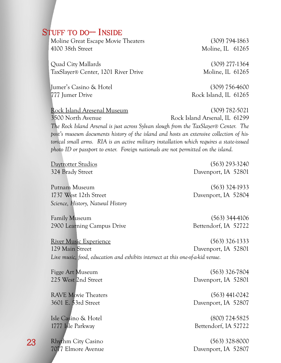#### **STUFF TO DO-- INSIDE**

Moline Great Escape Movie Theaters (309) 794-1863 4100 38th Street Moline, IL 61265

 Quad City Mallards (309) 277-1364 TaxSlayer® Center, 1201 River Drive Moline, IL 61265

Jumer's Casino & Hotel (309) 756-4600 777 Jumer Drive Rock Island, IL 61265

 [Rock Island Aresenal Museum \(](http://www.arsenalhistoricalsociety.org/museum/index.html)309) 782-5021 3500 North Avenue Rock Island Arsenal, IL 61299 *The Rock Island Arsenal is just across Sylvan slough from the TaxSlayer® Center. The post's museum documents history of the island and hosts an extensive collection of historical small arms. RIA is an active military installation which requires a state-issued photo ID or passport to enter. Foreign nationals are not permitted on the island.* 

 Putnam Museum (563) 324-1933 1737 West 12th Street Davenport, IA 52804 *Science, History, Natural History* 

 Family Museum (563) 344-4106 2900 Learning Campus Drive Bettendorf, IA 52722

 [Daytrotter Studios](http://www.daytrotter.com/) (563) 293-3240 324 Brady Street Davenport, IA 52801

[River Music Experience](http://rivermusicexperience.org/) (563) 326-1333 129 Main Street Davenport, IA 52801  *Live music, food, education and exhibits intersect at this one-of-a-kid venue.* 

RAVE Movie Theaters (563) 441-0242 3601 E. 53rd Street Davenport, IA 52807

 Figge Art Museum (563) 326-7804 225 West 2nd Street Davenport, IA 52801

 Isle Casino & Hotel (800) 724-5825 1777 Isle Parkway Bettendorf, IA 52722

Rhythm City Casino (563) 328-8000 7077 Elmore Avenue Davenport, IA 52807

23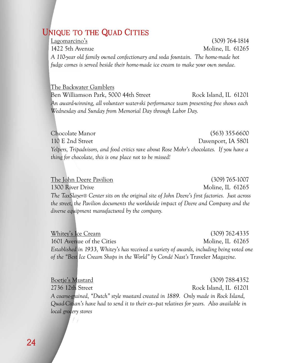#### **UNIQUE TO THE QUAD CITIES**

[Lagomarcino's](https://lagomarcinos.com/) (309) 764-1814 1422 5th Avenue Moline, IL 61265 *A 110-year old family owned confectionary and soda fountain. The home-made hot fudge comes is served beside their home-made ice cream to make your own sundae.* 

 [The Backwater Gamblers](http://backwatergamblers.com/) Ben Williamson Park, 5000 44th Street Rock Island, IL 61201 *An award-winning, all volunteer water-ski performance team presenting free shows each Wednesday and Sunday from Memorial Day through Labor Day.* 

Chocolate Manor (563) 355-6600 110 E 2nd Street Davenport, IA 5801 *Yelpers, Tripadvisors, and food critics rave about Rose Mohr's chocolates. If you have a thing for chocolate, this is one place not to be missed!* 

[The John Deere Pavilion \(](https://www.deere.com/en/connect-with-john-deere/visit-john-deere/pavilion/)309) 765-1007 1300 River Drive Moline, IL 61265 *The TaxSlayer® Center sits on the original site of John Deere's first factories. Just across the street, the Pavilion documents the worldwide impact of Deere and Company and the diverse equipment manufactured by the company.* 

[Whitey's Ice Cream](https://www.whiteysicecream.com/) (309) 762-4335 1601 Avenue of the Cities Moline, IL 61265 *Established in 1933, Whitey's has received a variety of awards, including being voted one of the "Best Ice Cream Shops in the World" by Condé Nast's* Traveler *Magazine.* 

[Boetje's Mustard](http://www.boetjesmustard.com/) (309) 788-4352 2736 12th Street Rock Island, IL 61201 *A coarse-grained, "Dutch" style mustard created in 1889. Only made in Rock Island, Quad-Citian's have had to send it to their ex—pat relatives for years. Also available in local grocery stores*